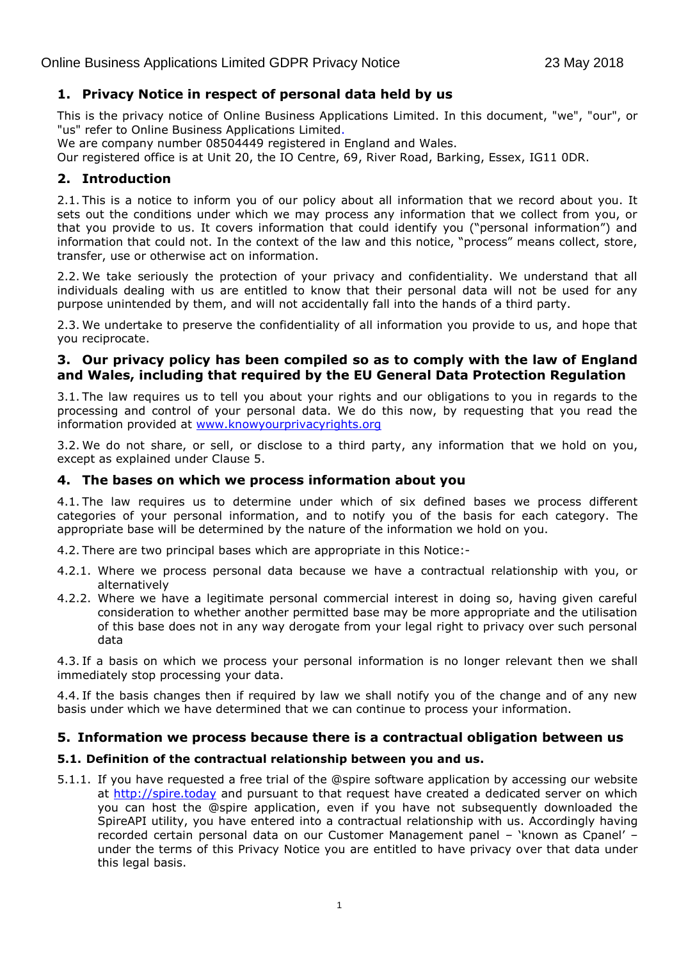# **1. Privacy Notice in respect of personal data held by us**

This is the privacy notice of Online Business Applications Limited. In this document, "we", "our", or "us" refer to Online Business Applications Limited.

We are company number 08504449 registered in England and Wales.

Our registered office is at Unit 20, the IO Centre, 69, River Road, Barking, Essex, IG11 0DR.

# **2. Introduction**

2.1. This is a notice to inform you of our policy about all information that we record about you. It sets out the conditions under which we may process any information that we collect from you, or that you provide to us. It covers information that could identify you ("personal information") and information that could not. In the context of the law and this notice, "process" means collect, store, transfer, use or otherwise act on information.

2.2. We take seriously the protection of your privacy and confidentiality. We understand that all individuals dealing with us are entitled to know that their personal data will not be used for any purpose unintended by them, and will not accidentally fall into the hands of a third party.

2.3. We undertake to preserve the confidentiality of all information you provide to us, and hope that you reciprocate.

# **3. Our privacy policy has been compiled so as to comply with the law of England and Wales, including that required by the EU General Data Protection Regulation**

3.1. The law requires us to tell you about your rights and our obligations to you in regards to the processing and control of your personal data. We do this now, by requesting that you read the information provided at [www.knowyourprivacyrights.org](http://www.knowyourprivacyrights.org/)

3.2. We do not share, or sell, or disclose to a third party, any information that we hold on you, except as explained under Clause 5.

# **4. The bases on which we process information about you**

4.1. The law requires us to determine under which of six defined bases we process different categories of your personal information, and to notify you of the basis for each category. The appropriate base will be determined by the nature of the information we hold on you.

4.2. There are two principal bases which are appropriate in this Notice:-

- 4.2.1. Where we process personal data because we have a contractual relationship with you, or alternatively
- 4.2.2. Where we have a legitimate personal commercial interest in doing so, having given careful consideration to whether another permitted base may be more appropriate and the utilisation of this base does not in any way derogate from your legal right to privacy over such personal data

4.3. If a basis on which we process your personal information is no longer relevant then we shall immediately stop processing your data.

4.4. If the basis changes then if required by law we shall notify you of the change and of any new basis under which we have determined that we can continue to process your information.

# **5. Information we process because there is a contractual obligation between us**

### **5.1. Definition of the contractual relationship between you and us.**

5.1.1. If you have requested a free trial of the @spire software application by accessing our website at [http://spire.today](http://spire.today/) and pursuant to that request have created a dedicated server on which you can host the @spire application, even if you have not subsequently downloaded the SpireAPI utility, you have entered into a contractual relationship with us. Accordingly having recorded certain personal data on our Customer Management panel – 'known as Cpanel' – under the terms of this Privacy Notice you are entitled to have privacy over that data under this legal basis.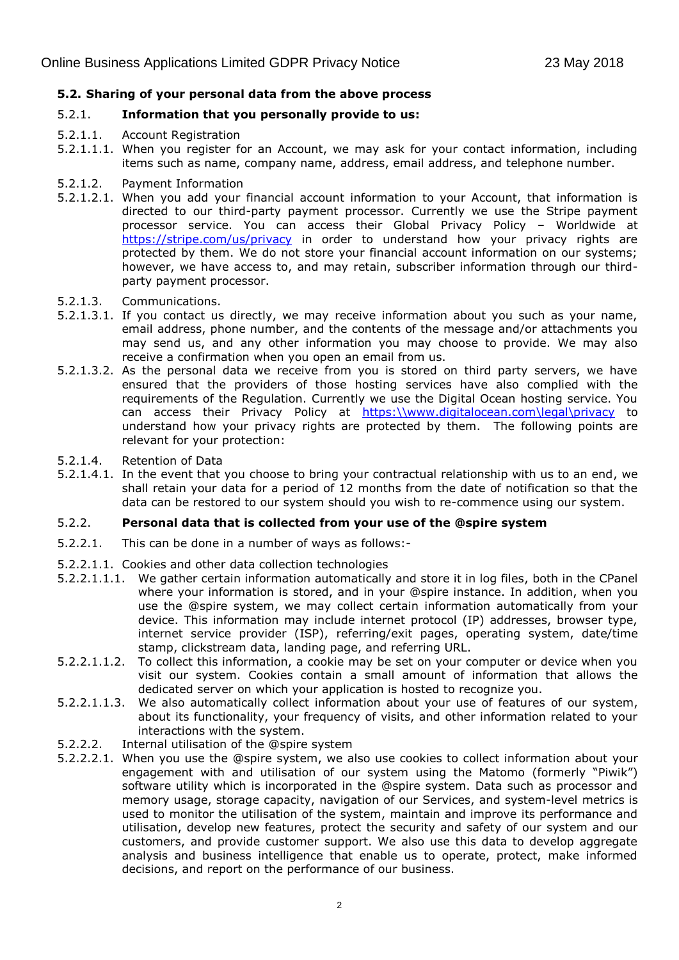## **5.2. Sharing of your personal data from the above process**

### 5.2.1. **Information that you personally provide to us:**

- 5.2.1.1. Account Registration
- 5.2.1.1.1. When you register for an Account, we may ask for your contact information, including items such as name, company name, address, email address, and telephone number.
- 5.2.1.2. Payment Information
- 5.2.1.2.1. When you add your financial account information to your Account, that information is directed to our third-party payment processor. Currently we use the Stripe payment processor service. You can access their Global Privacy Policy – Worldwide at <https://stripe.com/us/privacy> in order to understand how your privacy rights are protected by them. We do not store your financial account information on our systems; however, we have access to, and may retain, subscriber information through our thirdparty payment processor.
- 5.2.1.3. Communications.
- 5.2.1.3.1. If you contact us directly, we may receive information about you such as your name, email address, phone number, and the contents of the message and/or attachments you may send us, and any other information you may choose to provide. We may also receive a confirmation when you open an email from us.
- 5.2.1.3.2. As the personal data we receive from you is stored on third party servers, we have ensured that the providers of those hosting services have also complied with the requirements of the Regulation. Currently we use the Digital Ocean hosting service. You can access their Privacy Policy at [https:\\www.digitalocean.com\legal\privacy](https://www.digitalocean.com/legal/privacy) to understand how your privacy rights are protected by them. The following points are relevant for your protection:
- 5.2.1.4. Retention of Data
- 5.2.1.4.1. In the event that you choose to bring your contractual relationship with us to an end, we shall retain your data for a period of 12 months from the date of notification so that the data can be restored to our system should you wish to re-commence using our system.

### 5.2.2. **Personal data that is collected from your use of the @spire system**

- 5.2.2.1. This can be done in a number of ways as follows:-
- 5.2.2.1.1. Cookies and other data collection technologies
- 5.2.2.1.1.1. We gather certain information automatically and store it in log files, both in the CPanel where your information is stored, and in your @spire instance. In addition, when you use the @spire system, we may collect certain information automatically from your device. This information may include internet protocol (IP) addresses, browser type, internet service provider (ISP), referring/exit pages, operating system, date/time stamp, clickstream data, landing page, and referring URL.
- 5.2.2.1.1.2. To collect this information, a cookie may be set on your computer or device when you visit our system. Cookies contain a small amount of information that allows the dedicated server on which your application is hosted to recognize you.
- 5.2.2.1.1.3. We also automatically collect information about your use of features of our system, about its functionality, your frequency of visits, and other information related to your interactions with the system.
- 5.2.2.2. Internal utilisation of the @spire system
- 5.2.2.2.1. When you use the @spire system, we also use cookies to collect information about your engagement with and utilisation of our system using the Matomo (formerly "Piwik") software utility which is incorporated in the @spire system. Data such as processor and memory usage, storage capacity, navigation of our Services, and system-level metrics is used to monitor the utilisation of the system, maintain and improve its performance and utilisation, develop new features, protect the security and safety of our system and our customers, and provide customer support. We also use this data to develop aggregate analysis and business intelligence that enable us to operate, protect, make informed decisions, and report on the performance of our business.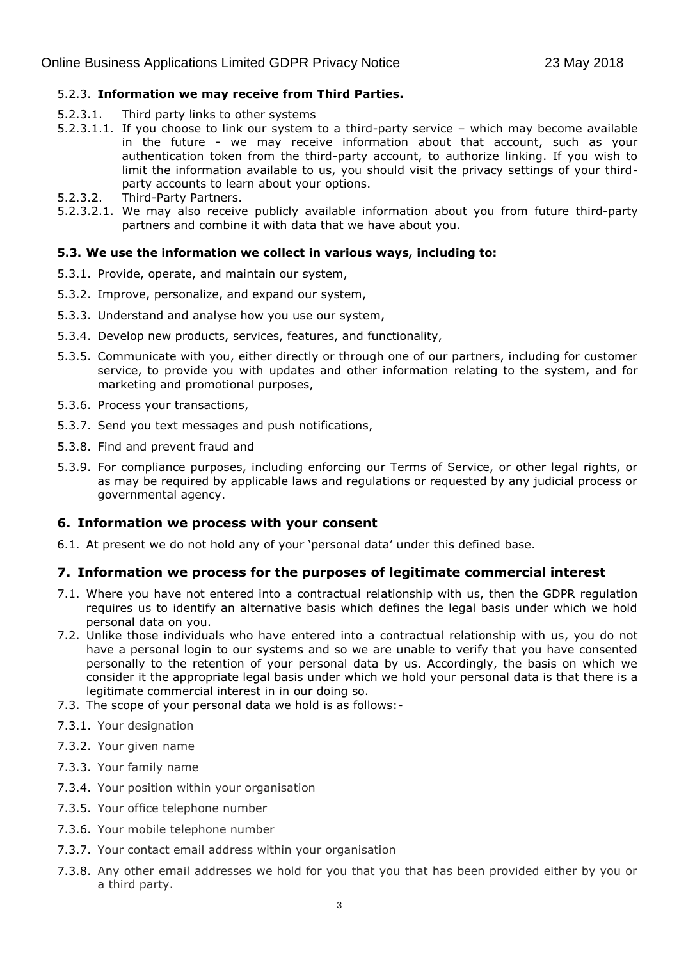### 5.2.3. **Information we may receive from Third Parties.**

- 5.2.3.1. Third party links to other systems
- 5.2.3.1.1. If you choose to link our system to a third-party service which may become available in the future - we may receive information about that account, such as your authentication token from the third-party account, to authorize linking. If you wish to limit the information available to us, you should visit the privacy settings of your thirdparty accounts to learn about your options.
- 5.2.3.2. Third-Party Partners.
- 5.2.3.2.1. We may also receive publicly available information about you from future third-party partners and combine it with data that we have about you.

#### **5.3. We use the information we collect in various ways, including to:**

- 5.3.1. Provide, operate, and maintain our system,
- 5.3.2. Improve, personalize, and expand our system,
- 5.3.3. Understand and analyse how you use our system,
- 5.3.4. Develop new products, services, features, and functionality,
- 5.3.5. Communicate with you, either directly or through one of our partners, including for customer service, to provide you with updates and other information relating to the system, and for marketing and promotional purposes,
- 5.3.6. Process your transactions,
- 5.3.7. Send you text messages and push notifications,
- 5.3.8. Find and prevent fraud and
- 5.3.9. For compliance purposes, including enforcing our Terms of Service, or other legal rights, or as may be required by applicable laws and regulations or requested by any judicial process or governmental agency.

### **6. Information we process with your consent**

6.1. At present we do not hold any of your 'personal data' under this defined base.

# **7. Information we process for the purposes of legitimate commercial interest**

- 7.1. Where you have not entered into a contractual relationship with us, then the GDPR regulation requires us to identify an alternative basis which defines the legal basis under which we hold personal data on you.
- 7.2. Unlike those individuals who have entered into a contractual relationship with us, you do not have a personal login to our systems and so we are unable to verify that you have consented personally to the retention of your personal data by us. Accordingly, the basis on which we consider it the appropriate legal basis under which we hold your personal data is that there is a legitimate commercial interest in in our doing so.
- 7.3. The scope of your personal data we hold is as follows:-
- 7.3.1. Your designation
- 7.3.2. Your given name
- 7.3.3. Your family name
- 7.3.4. Your position within your organisation
- 7.3.5. Your office telephone number
- 7.3.6. Your mobile telephone number
- 7.3.7. Your contact email address within your organisation
- 7.3.8. Any other email addresses we hold for you that you that has been provided either by you or a third party.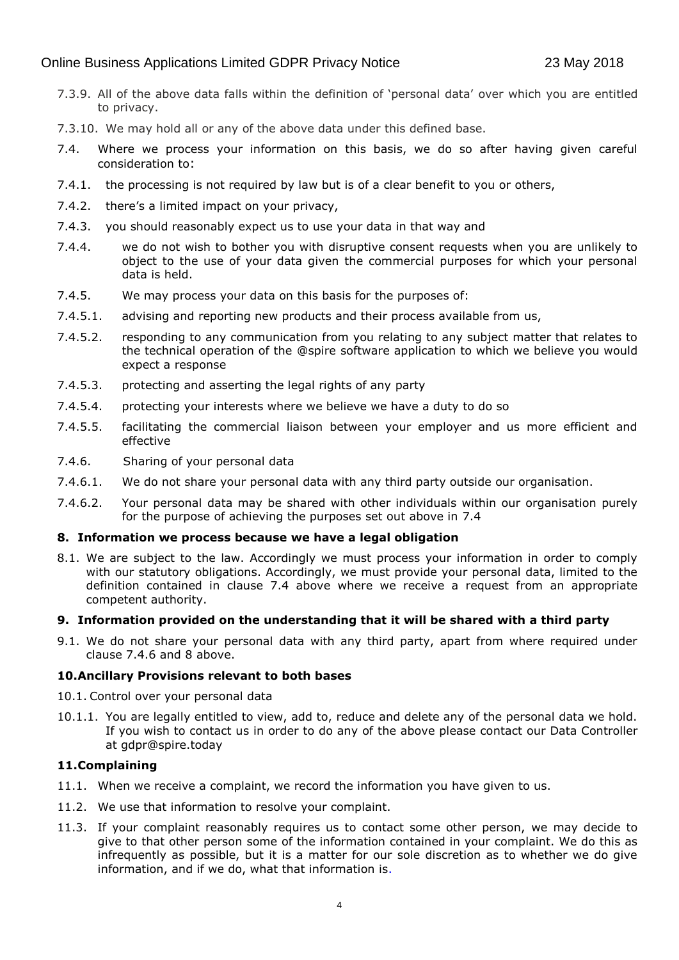# Online Business Applications Limited GDPR Privacy Notice 23 May 2018

- 7.3.9. All of the above data falls within the definition of 'personal data' over which you are entitled to privacy.
- 7.3.10. We may hold all or any of the above data under this defined base.
- 7.4. Where we process your information on this basis, we do so after having given careful consideration to:
- 7.4.1. the processing is not required by law but is of a clear benefit to you or others,
- 7.4.2. there's a limited impact on your privacy,
- 7.4.3. you should reasonably expect us to use your data in that way and
- 7.4.4. we do not wish to bother you with disruptive consent requests when you are unlikely to object to the use of your data given the commercial purposes for which your personal data is held.
- 7.4.5. We may process your data on this basis for the purposes of:
- 7.4.5.1. advising and reporting new products and their process available from us,
- 7.4.5.2. responding to any communication from you relating to any subject matter that relates to the technical operation of the @spire software application to which we believe you would expect a response
- 7.4.5.3. protecting and asserting the legal rights of any party
- 7.4.5.4. protecting your interests where we believe we have a duty to do so
- 7.4.5.5. facilitating the commercial liaison between your employer and us more efficient and effective
- 7.4.6. Sharing of your personal data
- 7.4.6.1. We do not share your personal data with any third party outside our organisation.
- 7.4.6.2. Your personal data may be shared with other individuals within our organisation purely for the purpose of achieving the purposes set out above in 7.4

### **8. Information we process because we have a legal obligation**

8.1. We are subject to the law. Accordingly we must process your information in order to comply with our statutory obligations. Accordingly, we must provide your personal data, limited to the definition contained in clause 7.4 above where we receive a request from an appropriate competent authority.

### **9. Information provided on the understanding that it will be shared with a third party**

9.1. We do not share your personal data with any third party, apart from where required under clause 7.4.6 and 8 above.

### **10.Ancillary Provisions relevant to both bases**

- 10.1. Control over your personal data
- 10.1.1. You are legally entitled to view, add to, reduce and delete any of the personal data we hold. If you wish to contact us in order to do any of the above please contact our Data Controller at gdpr@spire.today

### **11.Complaining**

- 11.1. When we receive a complaint, we record the information you have given to us.
- 11.2. We use that information to resolve your complaint.
- 11.3. If your complaint reasonably requires us to contact some other person, we may decide to give to that other person some of the information contained in your complaint. We do this as infrequently as possible, but it is a matter for our sole discretion as to whether we do give information, and if we do, what that information is.